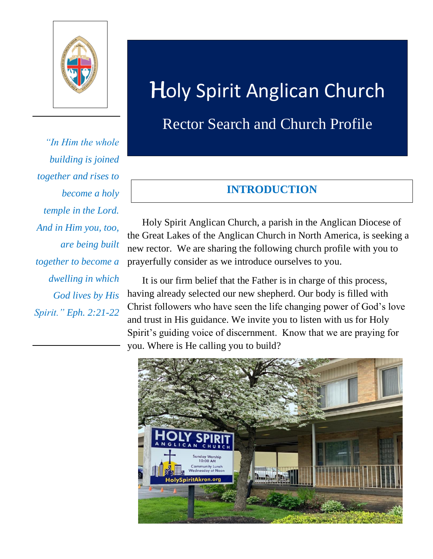

*"In Him the whole building is joined together and rises to become a holy temple in the Lord. And in Him you, too, are being built together to become a dwelling in which God lives by His Spirit." Eph. 2:21-22* 

# Holy Spirit Anglican Church

## Rector Search and Church Profile

## **INTRODUCTION**

 Holy Spirit Anglican Church, a parish in the Anglican Diocese of the Great Lakes of the Anglican Church in North America, is seeking a new rector. We are sharing the following church profile with you to prayerfully consider as we introduce ourselves to you.

 It is our firm belief that the Father is in charge of this process, having already selected our new shepherd. Our body is filled with Christ followers who have seen the life changing power of God's love and trust in His guidance. We invite you to listen with us for Holy Spirit's guiding voice of discernment. Know that we are praying for you. Where is He calling you to build?

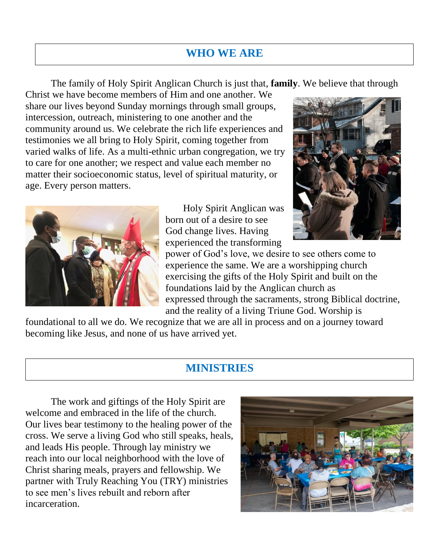## **WHO WE ARE**

The family of Holy Spirit Anglican Church is just that, **family**. We believe that through

Christ we have become members of Him and one another. We share our lives beyond Sunday mornings through small groups, intercession, outreach, ministering to one another and the community around us. We celebrate the rich life experiences and testimonies we all bring to Holy Spirit, coming together from varied walks of life. As a multi-ethnic urban congregation, we try to care for one another; we respect and value each member no matter their socioeconomic status, level of spiritual maturity, or age. Every person matters.



 Holy Spirit Anglican was born out of a desire to see God change lives. Having experienced the transforming



power of God's love, we desire to see others come to experience the same. We are a worshipping church exercising the gifts of the Holy Spirit and built on the foundations laid by the Anglican church as expressed through the sacraments, strong Biblical doctrine, and the reality of a living Triune God. Worship is

foundational to all we do. We recognize that we are all in process and on a journey toward becoming like Jesus, and none of us have arrived yet.

## **MINISTRIES**

The work and giftings of the Holy Spirit are welcome and embraced in the life of the church. Our lives bear testimony to the healing power of the cross. We serve a living God who still speaks, heals, and leads His people. Through lay ministry we reach into our local neighborhood with the love of Christ sharing meals, prayers and fellowship. We partner with Truly Reaching You (TRY) ministries to see men's lives rebuilt and reborn after incarceration.

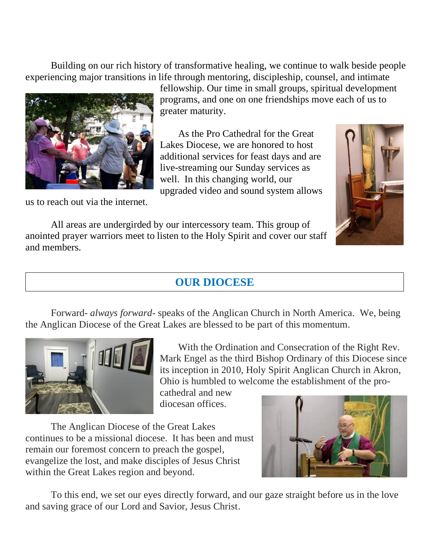Building on our rich history of transformative healing, we continue to walk beside people experiencing major transitions in life through mentoring, discipleship, counsel, and intimate



us to reach out via the internet.

fellowship. Our time in small groups, spiritual development programs, and one on one friendships move each of us to greater maturity.

As the Pro Cathedral for the Great Lakes Diocese, we are honored to host additional services for feast days and are live-streaming our Sunday services as well. In this changing world, our upgraded video and sound system allows



All areas are undergirded by our intercessory team. This group of anointed prayer warriors meet to listen to the Holy Spirit and cover our staff and members.

## **OUR DIOCESE**

Forward- *always forward*- speaks of the Anglican Church in North America. We, being the Anglican Diocese of the Great Lakes are blessed to be part of this momentum.



With the Ordination and Consecration of the Right Rev. Mark Engel as the third Bishop Ordinary of this Diocese since its inception in 2010, Holy Spirit Anglican Church in Akron, Ohio is humbled to welcome the establishment of the pro-

cathedral and new diocesan offices.

The Anglican Diocese of the Great Lakes continues to be a missional diocese. It has been and must remain our foremost concern to preach the gospel, evangelize the lost, and make disciples of Jesus Christ within the Great Lakes region and beyond.



To this end, we set our eyes directly forward, and our gaze straight before us in the love and saving grace of our Lord and Savior, Jesus Christ.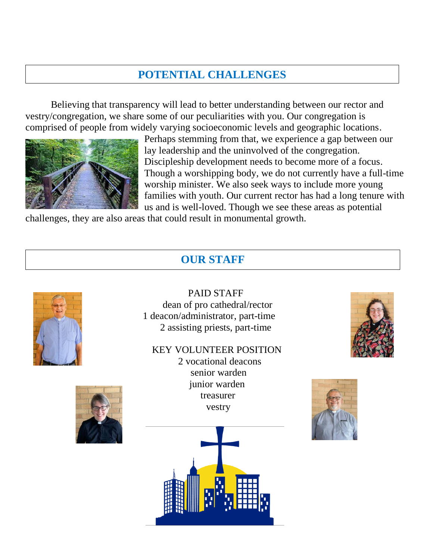## **POTENTIAL CHALLENGES**

Believing that transparency will lead to better understanding between our rector and vestry/congregation, we share some of our peculiarities with you. Our congregation is comprised of people from widely varying socioeconomic levels and geographic locations.



Perhaps stemming from that, we experience a gap between our lay leadership and the uninvolved of the congregation. Discipleship development needs to become more of a focus. Though a worshipping body, we do not currently have a full-time worship minister. We also seek ways to include more young families with youth. Our current rector has had a long tenure with us and is well-loved. Though we see these areas as potential

challenges, they are also areas that could result in monumental growth.

## **OUR STAFF**





 PAID STAFF dean of pro cathedral/rector 1 deacon/administrator, part-time 2 assisting priests, part-time

#### KEY VOLUNTEER POSITION

2 vocational deacons senior warden junior warden treasurer vestry





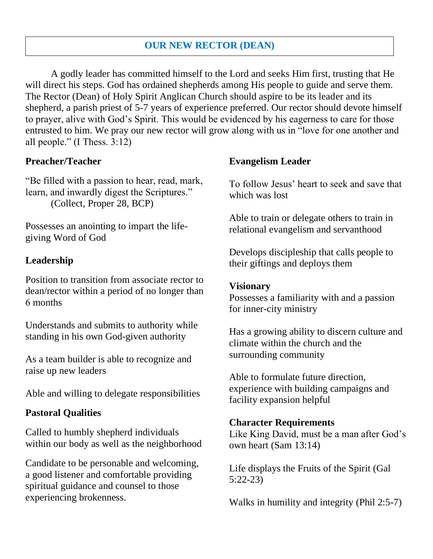#### **OUR NEW RECTOR (DEAN)**

A godly leader has committed himself to the Lord and seeks Him first, trusting that He will direct his steps. God has ordained shepherds among His people to guide and serve them. The Rector (Dean) of Holy Spirit Anglican Church should aspire to be its leader and its shepherd, a parish priest of 5-7 years of experience preferred. Our rector should devote himself to prayer, alive with God's Spirit. This would be evidenced by his eagerness to care for those entrusted to him. We pray our new rector will grow along with us in "love for one another and all people." (I Thess. 3:12)

#### **Preacher/Teacher**

"Be filled with a passion to hear, read, mark, learn, and inwardly digest the Scriptures." (Collect, Proper 28, BCP)

Possesses an anointing to impart the lifegiving Word of God

#### **Leadership**

Position to transition from associate rector to dean/rector within a period of no longer than 6 months

Understands and submits to authority while standing in his own God-given authority

As a team builder is able to recognize and raise up new leaders

Able and willing to delegate responsibilities

#### **Pastoral Qualities**

Called to humbly shepherd individuals within our body as well as the neighborhood

Candidate to be personable and welcoming, a good listener and comfortable providing spiritual guidance and counsel to those experiencing brokenness.

#### **Evangelism Leader**

To follow Jesus' heart to seek and save that which was lost

Able to train or delegate others to train in relational evangelism and servanthood

Develops discipleship that calls people to their giftings and deploys them

#### **Visionary**

Possesses a familiarity with and a passion for inner-city ministry

Has a growing ability to discern culture and climate within the church and the surrounding community

Able to formulate future direction, experience with building campaigns and facility expansion helpful

#### **Character Requirements**

Like King David, must be a man after God's own heart (Sam 13:14)

Life displays the Fruits of the Spirit (Gal 5:22-23)

Walks in humility and integrity (Phil 2:5-7)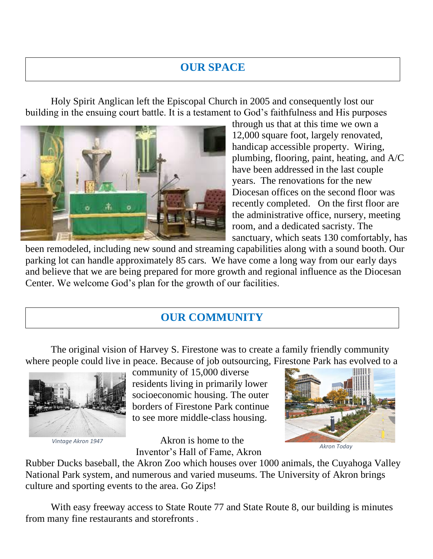## **OUR SPACE**

Holy Spirit Anglican left the Episcopal Church in 2005 and consequently lost our building in the ensuing court battle. It is a testament to God's faithfulness and His purposes



through us that at this time we own a 12,000 square foot, largely renovated, handicap accessible property. Wiring, plumbing, flooring, paint, heating, and A/C have been addressed in the last couple years. The renovations for the new Diocesan offices on the second floor was recently completed. On the first floor are the administrative office, nursery, meeting room, and a dedicated sacristy. The sanctuary, which seats 130 comfortably, has

been remodeled, including new sound and streaming capabilities along with a sound booth. Our parking lot can handle approximately 85 cars. We have come a long way from our early days and believe that we are being prepared for more growth and regional influence as the Diocesan Center. We welcome God's plan for the growth of our facilities.

## **OUR COMMUNITY**

The original vision of Harvey S. Firestone was to create a family friendly community where people could live in peace. Because of job outsourcing, Firestone Park has evolved to a



*Vintage Akron 1947*

community of 15,000 diverse residents living in primarily lower socioeconomic housing. The outer borders of Firestone Park continue to see more middle-class housing.

 Akron is home to the Inventor's Hall of Fame, Akron



*Akron Today*

Rubber Ducks baseball, the Akron Zoo which houses over 1000 animals, the Cuyahoga Valley National Park system, and numerous and varied museums. The University of Akron brings culture and sporting events to the area. Go Zips!

With easy freeway access to State Route 77 and State Route 8, our building is minutes from many fine restaurants and storefronts .